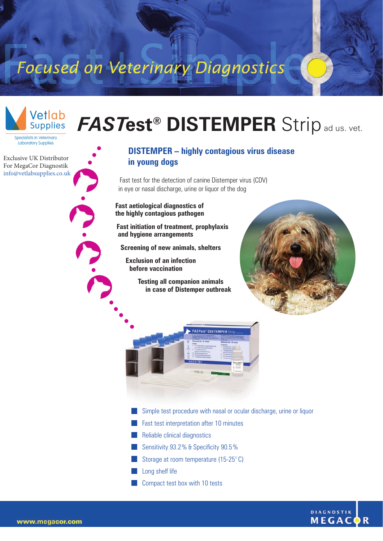## Focused on Veterinary Diagnostics



*FAST***est® DISTEMPER** Stripad us. vet.

**Specialists in Veterinary** Laboratory Supplies

Exclusive UK Distributor For MegaCor Diagnostik [info@vetlabsupplies.co.uk](https://vetlabsupplies.co.uk/about/contact-us/)

## **DISTEMPER – highly contagious virus disease in young dogs**

Fast test for the detection of canine Distemper virus (CDV) in eye or nasal discharge, urine or liquor of the dog

**Fast aetiological diagnostics of the highly contagious pathogen**

**Fast initiation of treatment, prophylaxis and hygiene arrangements** 

**Screening of new animals, shelters**

**Exclusion of an infection before vaccination**

> **Testing all companion animals in case of Distemper outbreak**





- Simple test procedure with nasal or ocular discharge, urine or liquor
- **Fast test interpretation after 10 minutes**
- **Reliable clinical diagnostics**
- Sensitivity 93.2% & Specificity 90.5% m.
- Storage at room temperature (15-25° C)
- Long shelf life
- **Compact test box with 10 tests**